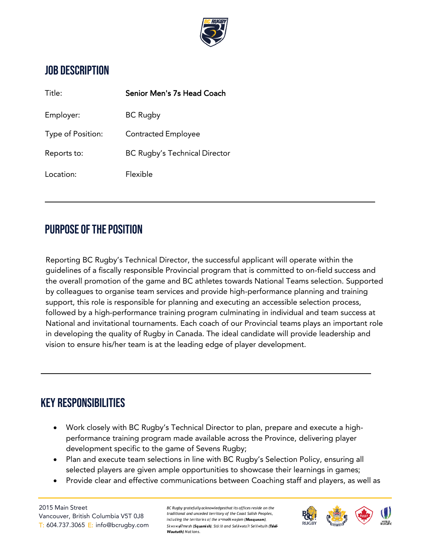

### JOB DESCRIPTION

| Title:            | Senior Men's 7s Head Coach           |
|-------------------|--------------------------------------|
| Employer:         | <b>BC Rugby</b>                      |
| Type of Position: | <b>Contracted Employee</b>           |
| Reports to:       | <b>BC Rugby's Technical Director</b> |
| Location:         | Flexible                             |

### PURPOSE OF THE POSITION

Reporting BC Rugby's Technical Director, the successful applicant will operate within the guidelines of a fiscally responsible Provincial program that is committed to on-field success and the overall promotion of the game and BC athletes towards National Teams selection. Supported by colleagues to organise team services and provide high-performance planning and training support, this role is responsible for planning and executing an accessible selection process, followed by a high-performance training program culminating in individual and team success at National and invitational tournaments. Each coach of our Provincial teams plays an important role in developing the quality of Rugby in Canada. The ideal candidate will provide leadership and vision to ensure his/her team is at the leading edge of player development.

### KEY RESPONSIBILITIES

- Work closely with BC Rugby's Technical Director to plan, prepare and execute a highperformance training program made available across the Province, delivering player development specific to the game of Sevens Rugby;
- Plan and execute team selections in line with BC Rugby's Selection Policy, ensuring all selected players are given ample opportunities to showcase their learnings in games;
- Provide clear and effective communications between Coaching staff and players, as well as

2015 Main Street Vancouver, British Columbia V5T 0J8 T: 604.737.3065 E: [info@bcrugby.com](mailto:info@bcrugby.com) *BC Rugby gratefully acknowledgesthat its offices reside on the traditional and unceded territory of the Coast Salish Peoples, inclu <sup>d</sup> ing the territor ie s of the xʷməθ<sup>k</sup> <sup>w</sup>əyə̓ m (Musqueam),* Skwxwv@7mesh (Squamish), Stó:lō and Sell/weta?/ Selilwitulh (Tsleil-*Waututh) Nations.*